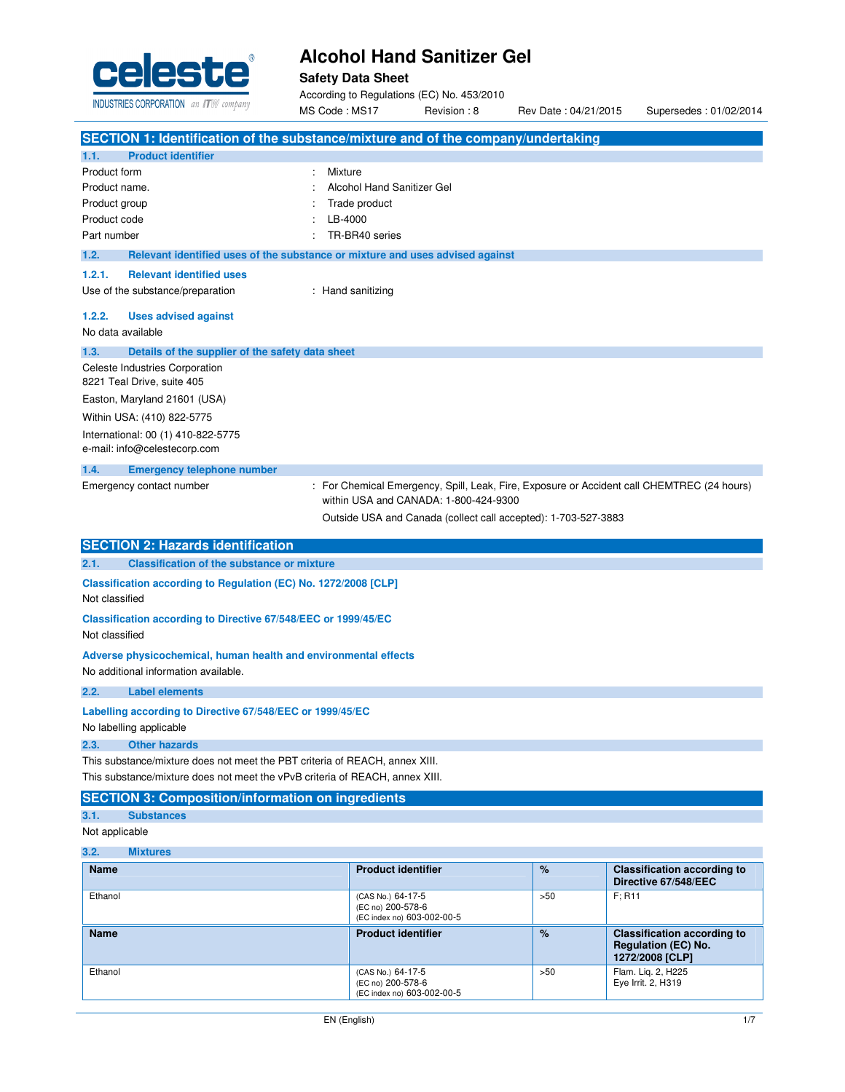

# **Alcohol Hand Sanitizer Gel**

**Safety Data Sheet**

According to Regulations (EC) No. 453/2010<br>MS Code: MS17 Revision: 8 MS Code : MS17 Revision : 8 Rev Date : 04/21/2015 Supersedes : 01/02/2014

|                                                                                                                                                             | UUUT. IVIJI                                                                                                                         | 1167 DAIG . 04/4 1/40 IJ | OUDCISCUCS. UT/UZ/ZUT-                                                              |
|-------------------------------------------------------------------------------------------------------------------------------------------------------------|-------------------------------------------------------------------------------------------------------------------------------------|--------------------------|-------------------------------------------------------------------------------------|
| SECTION 1: Identification of the substance/mixture and of the company/undertaking                                                                           |                                                                                                                                     |                          |                                                                                     |
| <b>Product identifier</b><br>1.1.                                                                                                                           |                                                                                                                                     |                          |                                                                                     |
| Product form                                                                                                                                                | Mixture                                                                                                                             |                          |                                                                                     |
| Product name.                                                                                                                                               | Alcohol Hand Sanitizer Gel                                                                                                          |                          |                                                                                     |
| Product group                                                                                                                                               | Trade product                                                                                                                       |                          |                                                                                     |
| Product code                                                                                                                                                | LB-4000                                                                                                                             |                          |                                                                                     |
| Part number                                                                                                                                                 | TR-BR40 series                                                                                                                      |                          |                                                                                     |
| 1.2.<br>Relevant identified uses of the substance or mixture and uses advised against                                                                       |                                                                                                                                     |                          |                                                                                     |
| 1.2.1.<br><b>Relevant identified uses</b>                                                                                                                   |                                                                                                                                     |                          |                                                                                     |
| Use of the substance/preparation                                                                                                                            | : Hand sanitizing                                                                                                                   |                          |                                                                                     |
| 1.2.2.<br><b>Uses advised against</b><br>No data available                                                                                                  |                                                                                                                                     |                          |                                                                                     |
| 1.3.<br>Details of the supplier of the safety data sheet                                                                                                    |                                                                                                                                     |                          |                                                                                     |
| Celeste Industries Corporation<br>8221 Teal Drive, suite 405                                                                                                |                                                                                                                                     |                          |                                                                                     |
| Easton, Maryland 21601 (USA)                                                                                                                                |                                                                                                                                     |                          |                                                                                     |
| Within USA: (410) 822-5775                                                                                                                                  |                                                                                                                                     |                          |                                                                                     |
| International: 00 (1) 410-822-5775                                                                                                                          |                                                                                                                                     |                          |                                                                                     |
| e-mail: info@celestecorp.com                                                                                                                                |                                                                                                                                     |                          |                                                                                     |
| 1.4.<br><b>Emergency telephone number</b>                                                                                                                   |                                                                                                                                     |                          |                                                                                     |
| Emergency contact number                                                                                                                                    | : For Chemical Emergency, Spill, Leak, Fire, Exposure or Accident call CHEMTREC (24 hours)<br>within USA and CANADA: 1-800-424-9300 |                          |                                                                                     |
|                                                                                                                                                             | Outside USA and Canada (collect call accepted): 1-703-527-3883                                                                      |                          |                                                                                     |
|                                                                                                                                                             |                                                                                                                                     |                          |                                                                                     |
| <b>SECTION 2: Hazards identification</b>                                                                                                                    |                                                                                                                                     |                          |                                                                                     |
| 2.1.<br><b>Classification of the substance or mixture</b>                                                                                                   |                                                                                                                                     |                          |                                                                                     |
| Classification according to Regulation (EC) No. 1272/2008 [CLP]<br>Not classified                                                                           |                                                                                                                                     |                          |                                                                                     |
| Classification according to Directive 67/548/EEC or 1999/45/EC<br>Not classified                                                                            |                                                                                                                                     |                          |                                                                                     |
| Adverse physicochemical, human health and environmental effects<br>No additional information available.                                                     |                                                                                                                                     |                          |                                                                                     |
| 2.2.<br><b>Label elements</b>                                                                                                                               |                                                                                                                                     |                          |                                                                                     |
|                                                                                                                                                             |                                                                                                                                     |                          |                                                                                     |
| Labelling according to Directive 67/548/EEC or 1999/45/EC<br>No labelling applicable                                                                        |                                                                                                                                     |                          |                                                                                     |
| 2.3.<br><b>Other hazards</b>                                                                                                                                |                                                                                                                                     |                          |                                                                                     |
| This substance/mixture does not meet the PBT criteria of REACH, annex XIII.<br>This substance/mixture does not meet the vPvB criteria of REACH, annex XIII. |                                                                                                                                     |                          |                                                                                     |
| <b>SECTION 3: Composition/information on ingredients</b>                                                                                                    |                                                                                                                                     |                          |                                                                                     |
| <b>Substances</b>                                                                                                                                           |                                                                                                                                     |                          |                                                                                     |
| 3.1.<br>Not applicable                                                                                                                                      |                                                                                                                                     |                          |                                                                                     |
|                                                                                                                                                             |                                                                                                                                     |                          |                                                                                     |
| 3.2.<br><b>Mixtures</b>                                                                                                                                     |                                                                                                                                     |                          |                                                                                     |
| Name                                                                                                                                                        | <b>Product identifier</b>                                                                                                           | %                        | <b>Classification according to</b><br>Directive 67/548/EEC                          |
| Ethanol                                                                                                                                                     | (CAS No.) 64-17-5<br>(EC no) 200-578-6<br>(EC index no) 603-002-00-5                                                                | >50                      | F; R11                                                                              |
| Name                                                                                                                                                        | <b>Product identifier</b>                                                                                                           | $\%$                     | <b>Classification according to</b><br><b>Regulation (EC) No.</b><br>1272/2008 [CLP] |

Ethanol (CAS No.) 64-17-5 (EC no) 200-578-6 (EC index no) 603-002-00-5

>50 Flam. Liq. 2, H225 Eye Irrit. 2, H319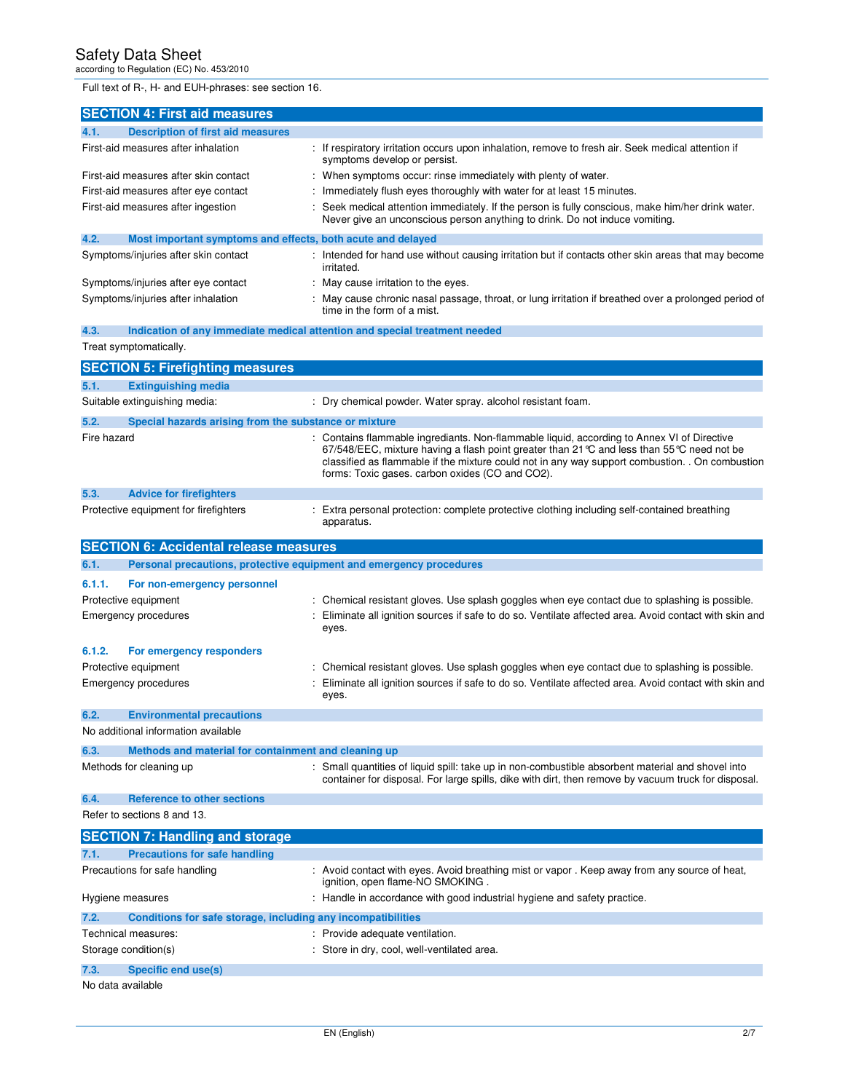Full text of R-, H- and EUH-phrases: see section 16.

|             | <b>SECTION 4: First aid measures</b>                                                                |                                                                                                                                                                                                                                                                                                                                             |
|-------------|-----------------------------------------------------------------------------------------------------|---------------------------------------------------------------------------------------------------------------------------------------------------------------------------------------------------------------------------------------------------------------------------------------------------------------------------------------------|
| 4.1.        | <b>Description of first aid measures</b>                                                            |                                                                                                                                                                                                                                                                                                                                             |
|             | First-aid measures after inhalation                                                                 | : If respiratory irritation occurs upon inhalation, remove to fresh air. Seek medical attention if<br>symptoms develop or persist.                                                                                                                                                                                                          |
|             | First-aid measures after skin contact                                                               | : When symptoms occur: rinse immediately with plenty of water.                                                                                                                                                                                                                                                                              |
|             | First-aid measures after eye contact                                                                | Immediately flush eyes thoroughly with water for at least 15 minutes.                                                                                                                                                                                                                                                                       |
|             | First-aid measures after ingestion                                                                  | Seek medical attention immediately. If the person is fully conscious, make him/her drink water.<br>Never give an unconscious person anything to drink. Do not induce vomiting.                                                                                                                                                              |
| 4.2.        |                                                                                                     |                                                                                                                                                                                                                                                                                                                                             |
|             | Most important symptoms and effects, both acute and delayed<br>Symptoms/injuries after skin contact | : Intended for hand use without causing irritation but if contacts other skin areas that may become                                                                                                                                                                                                                                         |
|             |                                                                                                     | irritated.                                                                                                                                                                                                                                                                                                                                  |
|             | Symptoms/injuries after eye contact                                                                 | May cause irritation to the eyes.                                                                                                                                                                                                                                                                                                           |
|             | Symptoms/injuries after inhalation                                                                  | May cause chronic nasal passage, throat, or lung irritation if breathed over a prolonged period of<br>time in the form of a mist.                                                                                                                                                                                                           |
| 4.3.        |                                                                                                     | Indication of any immediate medical attention and special treatment needed                                                                                                                                                                                                                                                                  |
|             | Treat symptomatically.                                                                              |                                                                                                                                                                                                                                                                                                                                             |
|             | <b>SECTION 5: Firefighting measures</b>                                                             |                                                                                                                                                                                                                                                                                                                                             |
| 5.1.        | <b>Extinguishing media</b>                                                                          |                                                                                                                                                                                                                                                                                                                                             |
|             | Suitable extinguishing media:                                                                       | : Dry chemical powder. Water spray. alcohol resistant foam.                                                                                                                                                                                                                                                                                 |
| 5.2.        | Special hazards arising from the substance or mixture                                               |                                                                                                                                                                                                                                                                                                                                             |
| Fire hazard |                                                                                                     | Contains flammable ingrediants. Non-flammable liquid, according to Annex VI of Directive<br>67/548/EEC, mixture having a flash point greater than 21 ℃ and less than 55 ℃ need not be<br>classified as flammable if the mixture could not in any way support combustion. . On combustion<br>forms: Toxic gases. carbon oxides (CO and CO2). |
| 5.3.        | <b>Advice for firefighters</b>                                                                      |                                                                                                                                                                                                                                                                                                                                             |
|             | Protective equipment for firefighters                                                               | Extra personal protection: complete protective clothing including self-contained breathing<br>apparatus.                                                                                                                                                                                                                                    |
|             | <b>SECTION 6: Accidental release measures</b>                                                       |                                                                                                                                                                                                                                                                                                                                             |
|             |                                                                                                     |                                                                                                                                                                                                                                                                                                                                             |
| 6.1.        |                                                                                                     |                                                                                                                                                                                                                                                                                                                                             |
|             | Personal precautions, protective equipment and emergency procedures                                 |                                                                                                                                                                                                                                                                                                                                             |
| 6.1.1.      | For non-emergency personnel                                                                         |                                                                                                                                                                                                                                                                                                                                             |
|             | Protective equipment<br><b>Emergency procedures</b>                                                 | Chemical resistant gloves. Use splash goggles when eye contact due to splashing is possible.<br>Eliminate all ignition sources if safe to do so. Ventilate affected area. Avoid contact with skin and<br>eyes.                                                                                                                              |
| 6.1.2.      | For emergency responders                                                                            |                                                                                                                                                                                                                                                                                                                                             |
|             | Protective equipment                                                                                | Chemical resistant gloves. Use splash goggles when eye contact due to splashing is possible.                                                                                                                                                                                                                                                |
|             | <b>Emergency procedures</b>                                                                         | Eliminate all ignition sources if safe to do so. Ventilate affected area. Avoid contact with skin and<br>eyes.                                                                                                                                                                                                                              |
| 6.2.        | <b>Environmental precautions</b>                                                                    |                                                                                                                                                                                                                                                                                                                                             |
|             | No additional information available                                                                 |                                                                                                                                                                                                                                                                                                                                             |
| 6.3.        | Methods and material for containment and cleaning up                                                |                                                                                                                                                                                                                                                                                                                                             |
|             | Methods for cleaning up                                                                             | : Small quantities of liquid spill: take up in non-combustible absorbent material and shovel into<br>container for disposal. For large spills, dike with dirt, then remove by vacuum truck for disposal.                                                                                                                                    |
| 6.4.        | <b>Reference to other sections</b>                                                                  |                                                                                                                                                                                                                                                                                                                                             |
|             | Refer to sections 8 and 13.                                                                         |                                                                                                                                                                                                                                                                                                                                             |
|             |                                                                                                     |                                                                                                                                                                                                                                                                                                                                             |
|             | <b>SECTION 7: Handling and storage</b>                                                              |                                                                                                                                                                                                                                                                                                                                             |
| 7.1.        | <b>Precautions for safe handling</b><br>Precautions for safe handling                               | : Avoid contact with eyes. Avoid breathing mist or vapor . Keep away from any source of heat,                                                                                                                                                                                                                                               |
|             | Hygiene measures                                                                                    | ignition, open flame-NO SMOKING.<br>Handle in accordance with good industrial hygiene and safety practice.                                                                                                                                                                                                                                  |
| 7.2.        | Conditions for safe storage, including any incompatibilities                                        |                                                                                                                                                                                                                                                                                                                                             |
|             | Technical measures:                                                                                 | Provide adequate ventilation.                                                                                                                                                                                                                                                                                                               |
|             | Storage condition(s)                                                                                | Store in dry, cool, well-ventilated area.                                                                                                                                                                                                                                                                                                   |
| 7.3.        | <b>Specific end use(s)</b>                                                                          |                                                                                                                                                                                                                                                                                                                                             |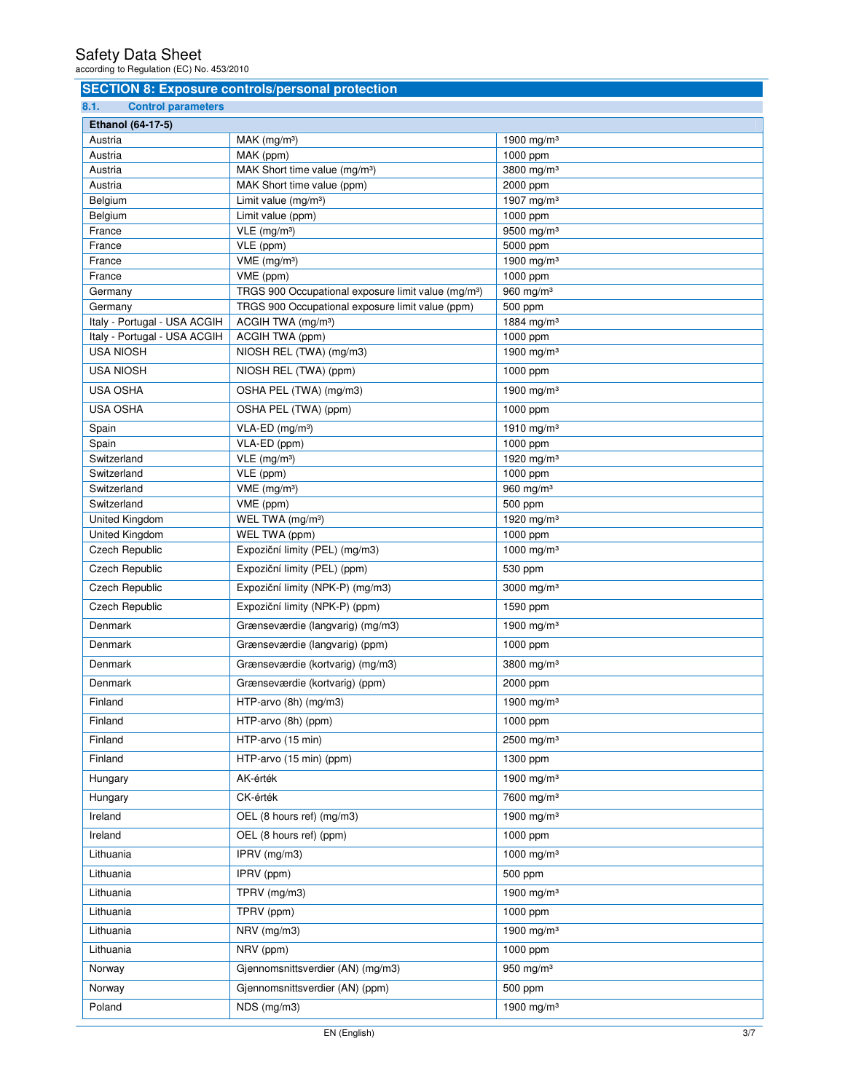# **SECTION 8: Exposure controls/personal protection**

| 8.1.<br><b>Control parameters</b> |                                                                    |                           |
|-----------------------------------|--------------------------------------------------------------------|---------------------------|
| Ethanol (64-17-5)                 |                                                                    |                           |
| Austria                           | $MAK$ (mg/m <sup>3</sup> )                                         | 1900 mg/m $3$             |
| Austria                           | MAK (ppm)                                                          | 1000 ppm                  |
| Austria                           | MAK Short time value (mg/m <sup>3</sup> )                          | 3800 mg/m <sup>3</sup>    |
| Austria                           | MAK Short time value (ppm)                                         | 2000 ppm                  |
| Belgium                           | Limit value (mg/m <sup>3</sup> )                                   | 1907 mg/m <sup>3</sup>    |
| Belgium                           | Limit value (ppm)                                                  | 1000 ppm                  |
| France                            | VLE (mg/m <sup>3</sup> )                                           | 9500 mg/m <sup>3</sup>    |
| France<br>France                  | VLE (ppm)<br>VME (mg/m <sup>3</sup> )                              | 5000 ppm<br>1900 mg/m $3$ |
| France                            | VME (ppm)                                                          | 1000 ppm                  |
| Germany                           | TRGS 900 Occupational exposure limit value (mg/m <sup>3</sup> )    | 960 mg/m <sup>3</sup>     |
| Germany                           | TRGS 900 Occupational exposure limit value (ppm)                   | 500 ppm                   |
| Italy - Portugal - USA ACGIH      | ACGIH TWA (mg/m <sup>3</sup> )                                     | 1884 mg/m <sup>3</sup>    |
| Italy - Portugal - USA ACGIH      | ACGIH TWA (ppm)                                                    | 1000 ppm                  |
| <b>USA NIOSH</b>                  | NIOSH REL (TWA) (mg/m3)                                            | 1900 mg/m $3$             |
| USA NIOSH                         | NIOSH REL (TWA) (ppm)                                              | 1000 ppm                  |
| <b>USA OSHA</b>                   | OSHA PEL (TWA) (mg/m3)                                             | 1900 mg/m $3$             |
| <b>USA OSHA</b>                   | OSHA PEL (TWA) (ppm)                                               | 1000 ppm                  |
| Spain                             | $VLA-ED$ (mg/m <sup>3</sup> )                                      | 1910 mg/m $3$             |
| Spain                             | VLA-ED (ppm)                                                       | 1000 ppm                  |
| Switzerland                       | $\overline{VLE (mg/m^3)}$                                          | 1920 mg/m <sup>3</sup>    |
| Switzerland                       | VLE (ppm)                                                          | 1000 ppm                  |
| Switzerland                       | $VME$ (mg/m <sup>3</sup> )                                         | 960 mg/m <sup>3</sup>     |
| Switzerland                       | VME (ppm)                                                          | 500 ppm                   |
| United Kingdom                    | WEL TWA (mg/m <sup>3</sup> )                                       | 1920 mg/m <sup>3</sup>    |
| United Kingdom                    | WEL TWA (ppm)                                                      | 1000 ppm                  |
| <b>Czech Republic</b>             | Expoziční limity (PEL) (mg/m3)                                     | 1000 mg/m <sup>3</sup>    |
| <b>Czech Republic</b>             | Expoziční limity (PEL) (ppm)                                       | 530 ppm                   |
| <b>Czech Republic</b>             | Expoziční limity (NPK-P) (mg/m3)                                   | 3000 mg/m <sup>3</sup>    |
| <b>Czech Republic</b>             | Expoziční limity (NPK-P) (ppm)                                     | 1590 ppm                  |
| Denmark<br>Denmark                | Grænseværdie (langvarig) (mg/m3)<br>Grænseværdie (langvarig) (ppm) | 1900 mg/m $3$<br>1000 ppm |
|                                   |                                                                    |                           |
| Denmark                           | Grænseværdie (kortvarig) (mg/m3)                                   | 3800 mg/m <sup>3</sup>    |
| Denmark                           | Grænseværdie (kortvarig) (ppm)                                     | 2000 ppm                  |
| Finland                           | HTP-arvo (8h) (mg/m3)                                              | 1900 mg/m <sup>3</sup>    |
| Finland                           | HTP-arvo (8h) (ppm)                                                | 1000 ppm                  |
| Finland                           | HTP-arvo (15 min)                                                  | 2500 mg/m <sup>3</sup>    |
| Finland                           | HTP-arvo (15 min) (ppm)                                            | 1300 ppm                  |
| Hungary                           | AK-érték                                                           | 1900 mg/m $3$             |
| Hungary                           | CK-érték                                                           | 7600 mg/m <sup>3</sup>    |
| Ireland                           | OEL (8 hours ref) (mg/m3)                                          | 1900 mg/m $3$             |
| Ireland                           | OEL (8 hours ref) (ppm)                                            | 1000 ppm                  |
| Lithuania                         | $IPRV$ (mg/m3)                                                     | 1000 mg/m $3$             |
| Lithuania                         | IPRV (ppm)                                                         | 500 ppm                   |
| Lithuania                         | TPRV (mg/m3)                                                       | 1900 mg/m $3$             |
| Lithuania                         | TPRV (ppm)                                                         | 1000 ppm                  |
| Lithuania                         | NRV (mg/m3)                                                        | 1900 mg/m <sup>3</sup>    |
| Lithuania                         | NRV (ppm)                                                          | 1000 ppm                  |
| Norway                            | Gjennomsnittsverdier (AN) (mg/m3)                                  | 950 mg/m $3$              |
| Norway                            | Gjennomsnittsverdier (AN) (ppm)                                    | 500 ppm                   |
| Poland                            | NDS (mg/m3)                                                        | 1900 mg/m $3$             |
| EN (English)<br>3/7               |                                                                    |                           |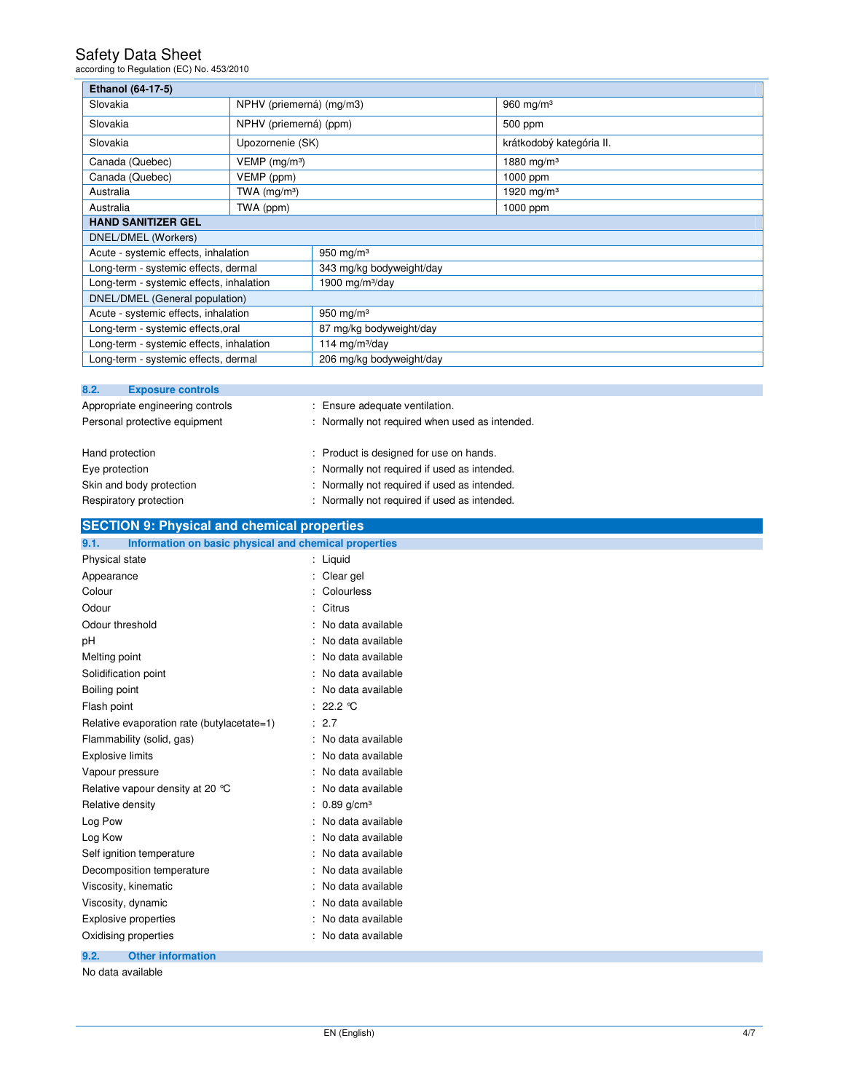| according to Regulation (EC) No. 453/2010                     |                             |                                                |                          |
|---------------------------------------------------------------|-----------------------------|------------------------------------------------|--------------------------|
| <b>Ethanol (64-17-5)</b>                                      |                             |                                                |                          |
| Slovakia                                                      | NPHV (priemerná) (mg/m3)    |                                                | 960 mg/m $3$             |
| Slovakia                                                      | NPHV (priemerná) (ppm)      |                                                | 500 ppm                  |
| Slovakia                                                      | Upozornenie (SK)            |                                                | krátkodobý kategória II. |
| Canada (Quebec)                                               | $VEMP$ (mg/m <sup>3</sup> ) |                                                | 1880 mg/m $3$            |
| Canada (Quebec)                                               | VEMP (ppm)                  |                                                | 1000 ppm                 |
| Australia                                                     | TWA $(mg/m3)$               |                                                | 1920 mg/m <sup>3</sup>   |
| Australia                                                     | TWA (ppm)                   |                                                | 1000 ppm                 |
| <b>HAND SANITIZER GEL</b>                                     |                             |                                                |                          |
| DNEL/DMEL (Workers)                                           |                             |                                                |                          |
| Acute - systemic effects, inhalation                          |                             | 950 mg/m $3$                                   |                          |
| Long-term - systemic effects, dermal                          |                             | 343 mg/kg bodyweight/day                       |                          |
| Long-term - systemic effects, inhalation                      |                             | 1900 mg/m $3$ /day                             |                          |
| DNEL/DMEL (General population)                                |                             |                                                |                          |
| Acute - systemic effects, inhalation                          |                             | 950 mg/m $3$                                   |                          |
| Long-term - systemic effects, oral                            |                             | 87 mg/kg bodyweight/day                        |                          |
| Long-term - systemic effects, inhalation                      |                             | 114 mg/m <sup>3</sup> /day                     |                          |
| Long-term - systemic effects, dermal                          |                             | 206 mg/kg bodyweight/day                       |                          |
| 8.2.<br><b>Exposure controls</b>                              |                             |                                                |                          |
| Appropriate engineering controls                              |                             | : Ensure adequate ventilation.                 |                          |
| Personal protective equipment                                 |                             | : Normally not required when used as intended. |                          |
|                                                               |                             |                                                |                          |
| Hand protection                                               |                             | Product is designed for use on hands.          |                          |
| Eye protection                                                |                             | Normally not required if used as intended.     |                          |
| Skin and body protection                                      |                             | Normally not required if used as intended.     |                          |
| Respiratory protection                                        |                             | : Normally not required if used as intended.   |                          |
| <b>SECTION 9: Physical and chemical properties</b>            |                             |                                                |                          |
| 9.1.<br>Information on basic physical and chemical properties |                             |                                                |                          |
| Physical state                                                | : Liquid                    |                                                |                          |
| Appearance                                                    |                             | : Clear gel                                    |                          |
| Colour                                                        |                             | Colourless                                     |                          |
| Odour                                                         |                             | Citrus                                         |                          |
| Odour threshold                                               |                             | No data available                              |                          |
| pH                                                            |                             | No data available                              |                          |
| Melting point                                                 |                             |                                                |                          |
|                                                               |                             | No data available                              |                          |
| Solidification point                                          |                             | No data available                              |                          |
| Boiling point                                                 |                             | : No data available                            |                          |
| Flash point                                                   |                             | : 22.2 $\degree$ C                             |                          |

| Relative evaporation rate (butylacetate=1) | : 2.7                      |
|--------------------------------------------|----------------------------|
| Flammability (solid, gas)                  | : No data available        |
| <b>Explosive limits</b>                    | : No data available        |
| Vapour pressure                            | : No data available        |
| Relative vapour density at 20 °C           | : No data available        |
| Relative density                           | : $0.89$ g/cm <sup>3</sup> |
| Log Pow                                    | : No data available        |
| Log Kow                                    | : No data available        |
| Self ignition temperature                  | : No data available        |
| Decomposition temperature                  | : No data available        |
| Viscosity, kinematic                       | : No data available        |
| Viscosity, dynamic                         | : No data available        |
| <b>Explosive properties</b>                | : No data available        |
| Oxidising properties                       | : No data available        |

**9.2. Other information** 

No data available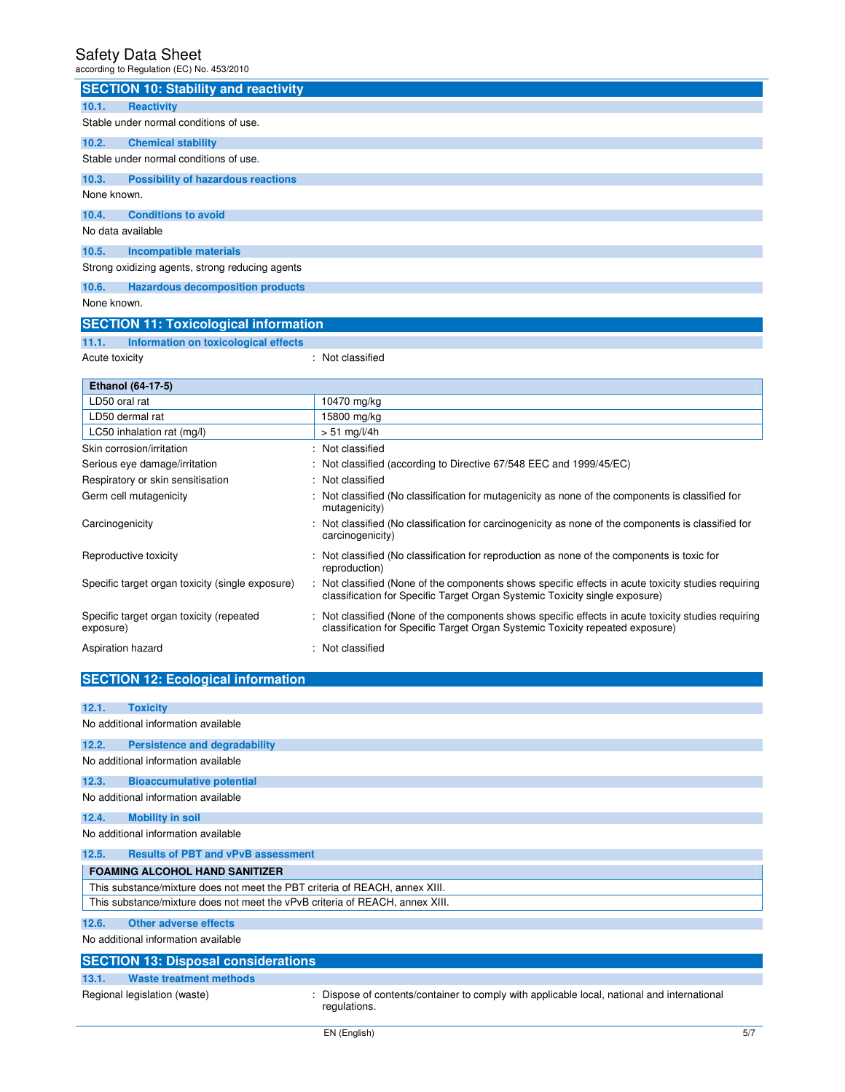|                   | <b>SECTION 10: Stability and reactivity</b>     |
|-------------------|-------------------------------------------------|
| 10.1.             | <b>Reactivity</b>                               |
|                   | Stable under normal conditions of use.          |
| 10.2.             | <b>Chemical stability</b>                       |
|                   | Stable under normal conditions of use.          |
| 10.3.             | <b>Possibility of hazardous reactions</b>       |
| None known.       |                                                 |
| 10.4.             | <b>Conditions to avoid</b>                      |
| No data available |                                                 |
| 10.5.             | Incompatible materials                          |
|                   | Strong oxidizing agents, strong reducing agents |
| 10.6.             | <b>Hazardous decomposition products</b>         |
| None known.       |                                                 |

# **SECTION 11: Toxicological information 11.1. Information on toxicological effects**

Acute toxicity **in the case of the contract of the contract of the contract of the contract of the contract of the contract of the contract of the contract of the contract of the contract of the contract of the contract of** 

| <b>Ethanol (64-17-5)</b>                              |                                                                                                                                                                                      |
|-------------------------------------------------------|--------------------------------------------------------------------------------------------------------------------------------------------------------------------------------------|
| LD50 oral rat                                         | 10470 mg/kg                                                                                                                                                                          |
| LD50 dermal rat                                       | 15800 mg/kg                                                                                                                                                                          |
| LC50 inhalation rat (mg/l)                            | $> 51$ mg/l/4h                                                                                                                                                                       |
| Skin corrosion/irritation                             | : Not classified                                                                                                                                                                     |
| Serious eye damage/irritation                         | : Not classified (according to Directive 67/548 EEC and 1999/45/EC)                                                                                                                  |
| Respiratory or skin sensitisation                     | : Not classified                                                                                                                                                                     |
| Germ cell mutagenicity                                | : Not classified (No classification for mutagenicity as none of the components is classified for<br>mutagenicity)                                                                    |
| Carcinogenicity                                       | Not classified (No classification for carcinogenicity as none of the components is classified for<br>carcinogenicity)                                                                |
| Reproductive toxicity                                 | Not classified (No classification for reproduction as none of the components is toxic for<br>reproduction)                                                                           |
| Specific target organ toxicity (single exposure)      | Not classified (None of the components shows specific effects in acute toxicity studies requiring<br>classification for Specific Target Organ Systemic Toxicity single exposure)     |
| Specific target organ toxicity (repeated<br>exposure) | : Not classified (None of the components shows specific effects in acute toxicity studies requiring<br>classification for Specific Target Organ Systemic Toxicity repeated exposure) |
| Aspiration hazard                                     | Not classified                                                                                                                                                                       |

# **SECTION 12: Ecological information**

| 12.1. | <b>Toxicity</b>                                                              |
|-------|------------------------------------------------------------------------------|
|       | No additional information available                                          |
| 12.2. | <b>Persistence and degradability</b>                                         |
|       | No additional information available                                          |
| 12.3. | <b>Bioaccumulative potential</b>                                             |
|       | No additional information available                                          |
| 12.4. | <b>Mobility in soil</b>                                                      |
|       | No additional information available                                          |
| 12.5. | <b>Results of PBT and vPvB assessment</b>                                    |
|       | <b>FOAMING ALCOHOL HAND SANITIZER</b>                                        |
|       | This substance/mixture does not meet the PBT criteria of REACH, annex XIII.  |
|       | This substance/mixture does not meet the vPvB criteria of REACH, annex XIII. |
| 12.6. | <b>Other adverse effects</b>                                                 |
|       | No additional information available                                          |
|       | <b>SECTION 13: Disposal considerations</b>                                   |
| 13.1. | Waste treatment methods                                                      |

Regional legislation (waste) : Dispose of contents/container to comply with applicable local, national and international regulations.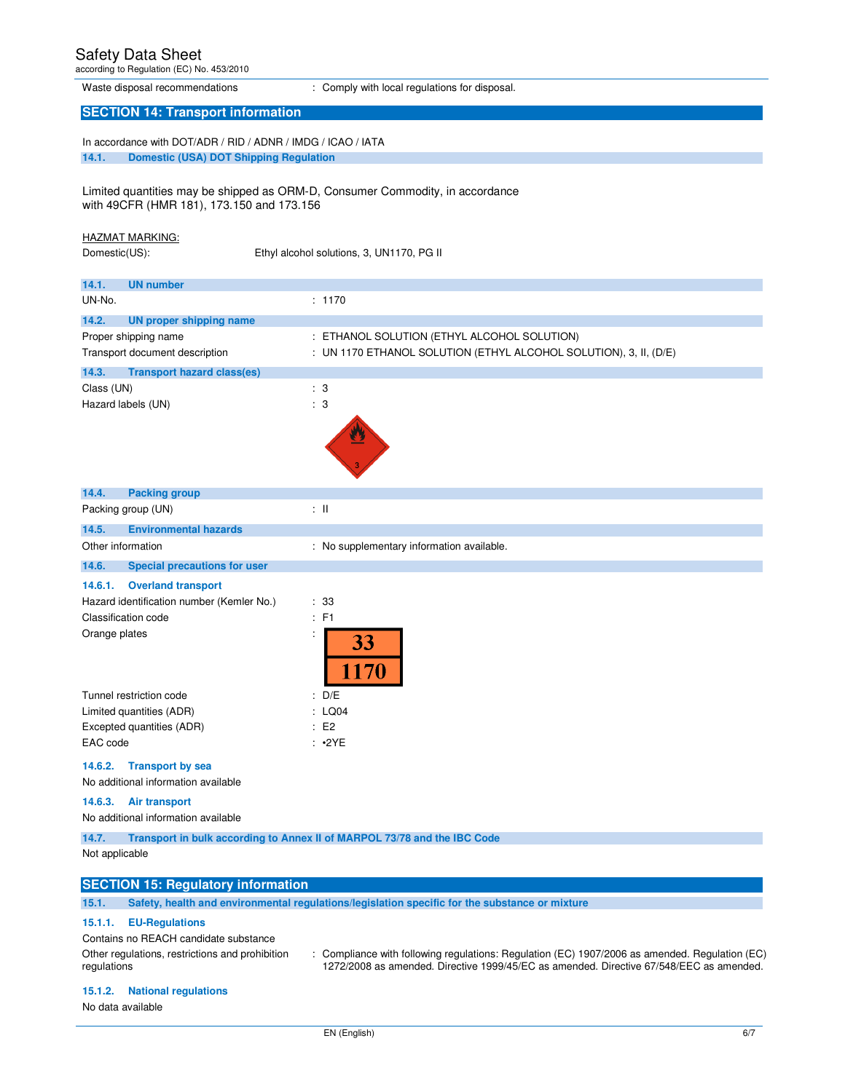# Safety Data Sheet

according to Regulation (EC) No. 453/2010

Waste disposal recommendations : Comply with local regulations for disposal.

# **SECTION 14: Transport information**

In accordance with DOT/ADR / RID / ADNR / IMDG / ICAO / IATA **14.1. Domestic (USA) DOT Shipping Regulation** 

Limited quantities may be shipped as ORM-D, Consumer Commodity, in accordance with 49CFR (HMR 181), 173.150 and 173.156

## HAZMAT MARKING:

Domestic(US): Ethyl alcohol solutions, 3, UN1170, PG II

| 14.1.<br><b>UN number</b>                                                 |                                                                   |
|---------------------------------------------------------------------------|-------------------------------------------------------------------|
| UN-No.                                                                    | : 1170                                                            |
| 14.2.<br><b>UN proper shipping name</b>                                   |                                                                   |
| Proper shipping name                                                      | : ETHANOL SOLUTION (ETHYL ALCOHOL SOLUTION)                       |
| Transport document description                                            | : UN 1170 ETHANOL SOLUTION (ETHYL ALCOHOL SOLUTION), 3, II, (D/E) |
| 14.3.<br><b>Transport hazard class(es)</b>                                |                                                                   |
| Class (UN)                                                                | : 3                                                               |
| Hazard labels (UN)                                                        | : 3                                                               |
| 14.4.<br><b>Packing group</b>                                             |                                                                   |
| Packing group (UN)                                                        | $\pm$ 11                                                          |
| 14.5.<br><b>Environmental hazards</b>                                     |                                                                   |
| Other information                                                         | : No supplementary information available.                         |
| 14.6.<br><b>Special precautions for user</b>                              |                                                                   |
| <b>Overland transport</b><br>14.6.1.                                      |                                                                   |
|                                                                           |                                                                   |
| Hazard identification number (Kemler No.)                                 | : 33                                                              |
| Classification code                                                       | : F1                                                              |
| Orange plates                                                             | 33<br>1170                                                        |
| Tunnel restriction code                                                   | : D/E                                                             |
| Limited quantities (ADR)                                                  | : LQ04                                                            |
| Excepted quantities (ADR)                                                 | : E2                                                              |
| EAC code                                                                  | : .2YE                                                            |
| <b>Transport by sea</b><br>14.6.2.<br>No additional information available |                                                                   |
| 14.6.3.<br><b>Air transport</b>                                           |                                                                   |

**14.7. Transport in bulk according to Annex II of MARPOL 73/78 and the IBC Code** 

Not applicable

## **SECTION 15: Regulatory information**

**15.1. Safety, health and environmental regulations/legislation specific for the substance or mixture** 

# **15.1.1. EU-Regulations**

Contains no REACH candidate substance Other regulations, restrictions and prohibition regulations

: Compliance with following regulations: Regulation (EC) 1907/2006 as amended. Regulation (EC) 1272/2008 as amended. Directive 1999/45/EC as amended. Directive 67/548/EEC as amended.

## **15.1.2. National regulations**

No data available